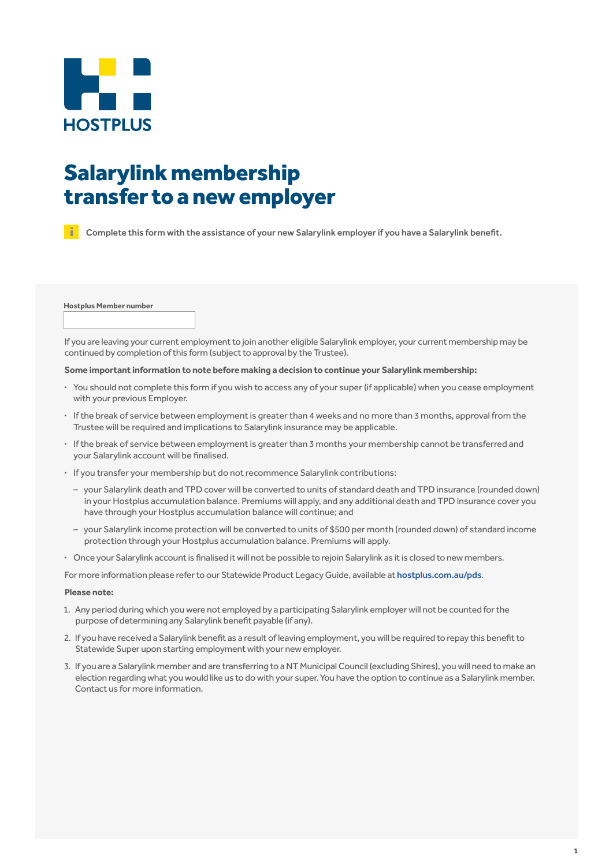

# Salarylink membership transfer to a new employer

Complete this form with the assistance of your new Salarylink employerif you have a Salarylink benefit.

**Hostplus Member number**

If you are leaving your current employment to join another eligible Salarylink employer, your current membership may be continued by completion of this form (subject to approval by the Trustee).

#### **Some important information to note before making a decision to continue your Salarylink membership:**

- **·** You should not complete this form if you wish to access any of your super (if applicable) when you cease employment with your previous Employer.
- **·** Ifthe break of service between employmentis greaterthan 4 weeks and no more than 3 months, approval from the Trustee will be required and implications to Salarylink insurance may be applicable.
- **·** Ifthe break of service between employmentis greaterthan 3 months your membership cannot be transferred and your Salarylink account will be finalised.
- **·** If you transfer your membership but do not recommence Salarylink contributions:
	- your Salarylink death and TPD cover will be converted to units of standard death and TPD insurance (rounded down) in your Hostplus accumulation balance. Premiums will apply, and any additional death and TPD insurance cover you have through your Hostplus accumulation balance will continue; and
	- your Salarylink income protection will be converted to units of \$500 per month (rounded down) of standard income protection through your Hostplus accumulation balance. Premiums will apply.
- **·** Once your Salarylink accountis finalised it will not be possible to rejoin Salarylink as itis closed to new members.

For more information please refer to our Statewide Product Legacy Guide, available at hostplus.com.au/pds.

#### **Please note:**

- 1. Any period during which you were not employed by a participating Salarylink employer will not be counted forthe purpose of determining any Salarylink benefit payable (if any).
- 2. If you have received a Salarylink benefit as a result of leaving employment, you will be required to repay this benefit to Statewide Super upon starting employment with your new employer.
- 3. If you are a Salarylink member and are transferring to a NT MunicipalCouncil (excluding Shires), you will need to make an election regarding what you would like us to do with your super. You have the option to continue as a Salarylink member. Contact us for more information.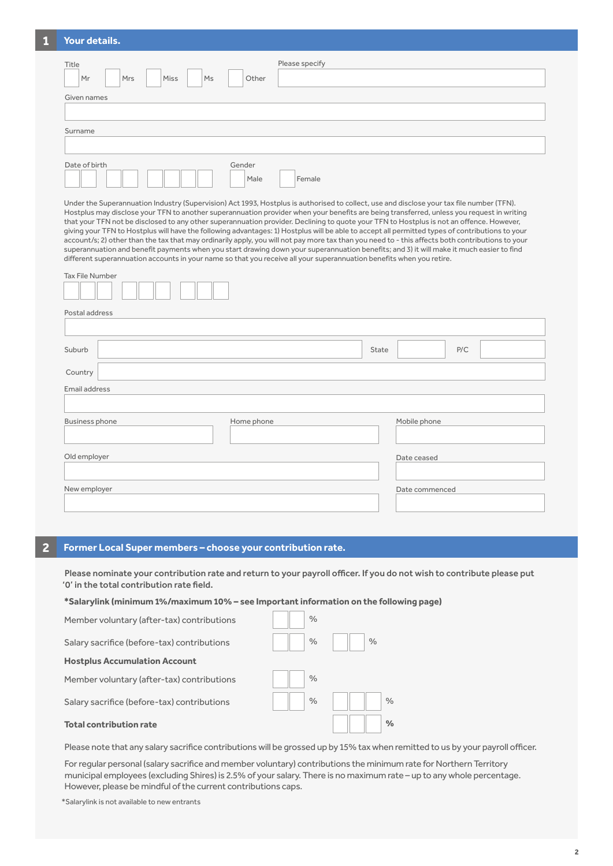## **1 Your details.**

| Title<br>Ms<br>Mr<br>Mrs<br>Miss | Other          | Please specify |
|----------------------------------|----------------|----------------|
| Given names                      |                |                |
| Surname                          |                |                |
|                                  |                |                |
| Date of birth                    | Gender<br>Male | Female         |

Under the Superannuation Industry (Supervision) Act 1993, Hostplus is authorised to collect, use and disclose your tax file number (TFN). Hostplus may disclose your TFN to another superannuation provider when your benefits are being transferred, unless you request in writing that your TFN not be disclosed to any other superannuation provider. Declining to quote your TFN to Hostplus is not an offence. However, giving your TFN to Hostplus will have the following advantages: 1) Hostplus will be able to accept all permitted types of contributions to your account/s; 2) other than the tax that may ordinarily apply, you will not pay more tax than you need to - this affects both contributions to your superannuation and benefit payments when you start drawing down your superannuation benefits; and 3) it will make it much easier to find different superannuation accounts in your name so that you receive all your superannuation benefits when you retire.

| Tax File Number |            |                |  |
|-----------------|------------|----------------|--|
| Postal address  |            |                |  |
|                 |            |                |  |
| Suburb          |            | P/C<br>State   |  |
| Country         |            |                |  |
| Email address   |            |                |  |
|                 |            |                |  |
| Business phone  | Home phone | Mobile phone   |  |
|                 |            |                |  |
| Old employer    |            | Date ceased    |  |
|                 |            |                |  |
| New employer    |            | Date commenced |  |
|                 |            |                |  |

# **2 Former Local Super members – choose your contribution rate.**

Please nominate your contribution rate and return to your payroll officer. If you do not wish to contribute please put '0' in the total contribution rate field.

#### **\*Salarylink (minimum 1%/maximum 10% – see Important information on the following page)**

| Member voluntary (after-tax) contributions  | $\%$ |               |
|---------------------------------------------|------|---------------|
| Salary sacrifice (before-tax) contributions | $\%$ | $\frac{0}{0}$ |
| <b>Hostplus Accumulation Account</b>        |      |               |
| Member voluntary (after-tax) contributions  | $\%$ |               |
| Salary sacrifice (before-tax) contributions | $\%$ | $\frac{0}{0}$ |
| <b>Total contribution rate</b>              |      | $\%$          |

Please note that any salary sacrifice contributions will be grossed up by 15% tax when remitted to us by your payroll officer.

Forregular personal (salary sacrifice and member voluntary) contributions the minimum rate for Northern Territory municipal employees (excluding Shires) is 2.5% of your salary. There is no maximum rate – up to any whole percentage. However, please be mindful of the current contributions caps.

\*Salarylink is not available to new entrants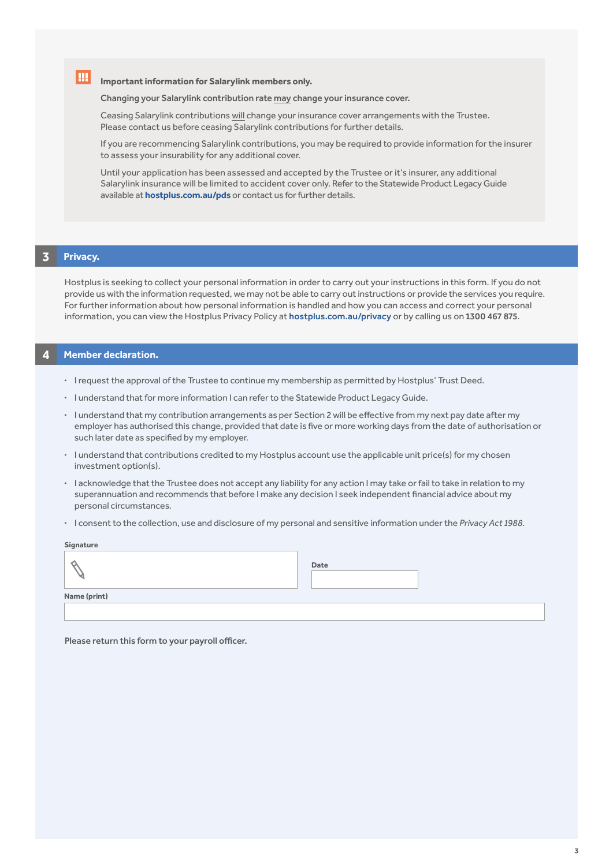**Important information for Salarylink members only.**

#### Changing your Salarylink contribution rate may change your insurance cover.

Ceasing Salarylink contributions will change your insurance cover arrangements with the Trustee. Please contact us before ceasing Salarylink contributions for further details.

 If you are recommencing Salarylink contributions, you may be required to provide information for the insurer to assess your insurability for any additional cover.

 Until your application has been assessed and accepted by the Trustee or it's insurer, any additional Salarylink insurance will be limited to accident cover only. Refer to the Statewide Product Legacy Guide available at **hostplus.com.au/pds** or contact us for further details.

### **3 Privacy.**

I.

Hostplus is seeking to collect your personal information in order to carry out your instructions in this form. If you do not provide us with the information requested, we may not be able to carry out instructions or provide the services you require. For further information about how personal information is handled and how you can access and correct your personal information, you can view the Hostplus Privacy Policy at hostplus.com.au/privacy or by calling us on 1300 467 875.

# **4 Member declaration.**

- **·** I request the approval of the Trustee to continue my membership as permitted by Hostplus' Trust Deed.
- **·** I understand that for more information I can refer to the Statewide Product Legacy Guide.
- **·** I understand that my contribution arrangements as per Section 2 will be effective from my next pay date after my employer has authorised this change, provided that date is five or more working days from the date of authorisation or such later date as specified by my employer.
- **·** I understand that contributions credited to my Hostplus account use the applicable unit price(s) for my chosen investment option(s).
- **·** I acknowledge that the Trustee does not accept any liability for any action I may take or fail to take in relation to my superannuation and recommends that before I make any decision I seek independent financial advice about my personal circumstances.
- **·** I consent to the collection, use and disclosure of my personal and sensitive information under the *Privacy Act 1988*.

#### **Signature**

|              | Date |  |
|--------------|------|--|
| Name (print) |      |  |
|              |      |  |

Please return this form to your payroll officer.